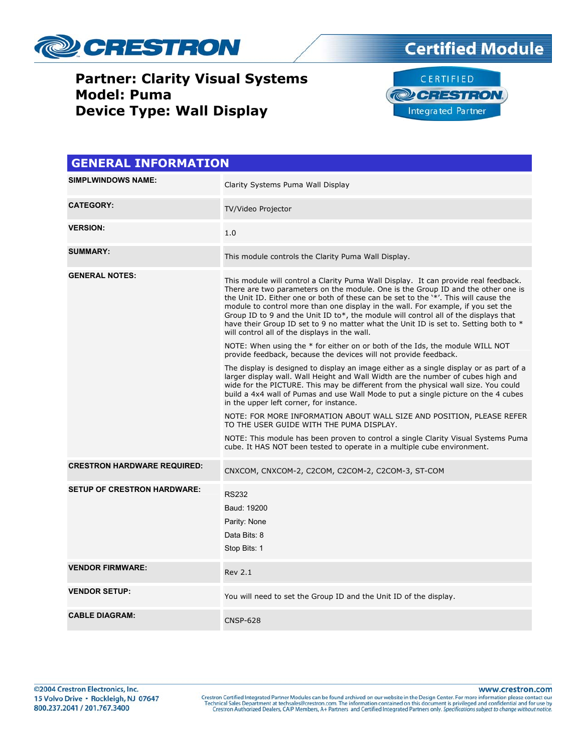





| <b>GENERAL INFORMATION</b>         |                                                                                                                                                                                                                                                                                                                                                                                                                                                                                                                                                                                                                                                                                                                                                                                                                                                                                                                                                                                                                                                                                                                                                                                                                                                                                                                                                                                                                                  |  |  |
|------------------------------------|----------------------------------------------------------------------------------------------------------------------------------------------------------------------------------------------------------------------------------------------------------------------------------------------------------------------------------------------------------------------------------------------------------------------------------------------------------------------------------------------------------------------------------------------------------------------------------------------------------------------------------------------------------------------------------------------------------------------------------------------------------------------------------------------------------------------------------------------------------------------------------------------------------------------------------------------------------------------------------------------------------------------------------------------------------------------------------------------------------------------------------------------------------------------------------------------------------------------------------------------------------------------------------------------------------------------------------------------------------------------------------------------------------------------------------|--|--|
| <b>SIMPLWINDOWS NAME:</b>          | Clarity Systems Puma Wall Display                                                                                                                                                                                                                                                                                                                                                                                                                                                                                                                                                                                                                                                                                                                                                                                                                                                                                                                                                                                                                                                                                                                                                                                                                                                                                                                                                                                                |  |  |
| <b>CATEGORY:</b>                   | TV/Video Projector                                                                                                                                                                                                                                                                                                                                                                                                                                                                                                                                                                                                                                                                                                                                                                                                                                                                                                                                                                                                                                                                                                                                                                                                                                                                                                                                                                                                               |  |  |
| <b>VERSION:</b>                    | 1.0                                                                                                                                                                                                                                                                                                                                                                                                                                                                                                                                                                                                                                                                                                                                                                                                                                                                                                                                                                                                                                                                                                                                                                                                                                                                                                                                                                                                                              |  |  |
| <b>SUMMARY:</b>                    | This module controls the Clarity Puma Wall Display.                                                                                                                                                                                                                                                                                                                                                                                                                                                                                                                                                                                                                                                                                                                                                                                                                                                                                                                                                                                                                                                                                                                                                                                                                                                                                                                                                                              |  |  |
| <b>GENERAL NOTES:</b>              | This module will control a Clarity Puma Wall Display. It can provide real feedback.<br>There are two parameters on the module. One is the Group ID and the other one is<br>the Unit ID. Either one or both of these can be set to the '*'. This will cause the<br>module to control more than one display in the wall. For example, if you set the<br>Group ID to 9 and the Unit ID to*, the module will control all of the displays that<br>have their Group ID set to 9 no matter what the Unit ID is set to. Setting both to *<br>will control all of the displays in the wall.<br>NOTE: When using the * for either on or both of the Ids, the module WILL NOT<br>provide feedback, because the devices will not provide feedback.<br>The display is designed to display an image either as a single display or as part of a<br>larger display wall. Wall Height and Wall Width are the number of cubes high and<br>wide for the PICTURE. This may be different from the physical wall size. You could<br>build a 4x4 wall of Pumas and use Wall Mode to put a single picture on the 4 cubes<br>in the upper left corner, for instance.<br>NOTE: FOR MORE INFORMATION ABOUT WALL SIZE AND POSITION, PLEASE REFER<br>TO THE USER GUIDE WITH THE PUMA DISPLAY.<br>NOTE: This module has been proven to control a single Clarity Visual Systems Puma<br>cube. It HAS NOT been tested to operate in a multiple cube environment. |  |  |
| <b>CRESTRON HARDWARE REQUIRED:</b> | CNXCOM, CNXCOM-2, C2COM, C2COM-2, C2COM-3, ST-COM                                                                                                                                                                                                                                                                                                                                                                                                                                                                                                                                                                                                                                                                                                                                                                                                                                                                                                                                                                                                                                                                                                                                                                                                                                                                                                                                                                                |  |  |
| <b>SETUP OF CRESTRON HARDWARE:</b> | <b>RS232</b><br>Baud: 19200<br>Parity: None<br>Data Bits: 8<br>Stop Bits: 1                                                                                                                                                                                                                                                                                                                                                                                                                                                                                                                                                                                                                                                                                                                                                                                                                                                                                                                                                                                                                                                                                                                                                                                                                                                                                                                                                      |  |  |
| <b>VENDOR FIRMWARE:</b>            | <b>Rev 2.1</b>                                                                                                                                                                                                                                                                                                                                                                                                                                                                                                                                                                                                                                                                                                                                                                                                                                                                                                                                                                                                                                                                                                                                                                                                                                                                                                                                                                                                                   |  |  |
| <b>VENDOR SETUP:</b>               | You will need to set the Group ID and the Unit ID of the display.                                                                                                                                                                                                                                                                                                                                                                                                                                                                                                                                                                                                                                                                                                                                                                                                                                                                                                                                                                                                                                                                                                                                                                                                                                                                                                                                                                |  |  |
| <b>CABLE DIAGRAM:</b>              | <b>CNSP-628</b>                                                                                                                                                                                                                                                                                                                                                                                                                                                                                                                                                                                                                                                                                                                                                                                                                                                                                                                                                                                                                                                                                                                                                                                                                                                                                                                                                                                                                  |  |  |

www.crestron.com Crestron Certified Integrated Partner Modules can be found archived on our website in the Design Center. For more information please contact our Technical Sales Department at techsales@crestron.com. The information contain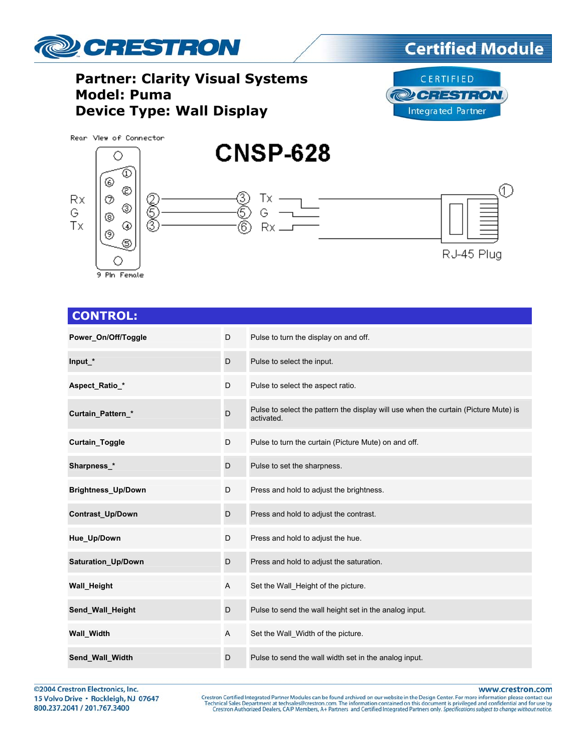



**Certified Module** 



#### **CONTROL:**

| Power On/Off/Toggle       | D            | Pulse to turn the display on and off.                                                             |
|---------------------------|--------------|---------------------------------------------------------------------------------------------------|
| Input *                   | D            | Pulse to select the input.                                                                        |
| Aspect_Ratio_*            | D            | Pulse to select the aspect ratio.                                                                 |
| Curtain_Pattern_*         | D            | Pulse to select the pattern the display will use when the curtain (Picture Mute) is<br>activated. |
| <b>Curtain Toggle</b>     | D            | Pulse to turn the curtain (Picture Mute) on and off.                                              |
| Sharpness_*               | D            | Pulse to set the sharpness.                                                                       |
| <b>Brightness_Up/Down</b> | D            | Press and hold to adjust the brightness.                                                          |
| <b>Contrast Up/Down</b>   | D            | Press and hold to adjust the contrast.                                                            |
| Hue_Up/Down               | D            | Press and hold to adjust the hue.                                                                 |
| Saturation_Up/Down        | D            | Press and hold to adjust the saturation.                                                          |
| Wall_Height               | $\mathsf{A}$ | Set the Wall_Height of the picture.                                                               |
| Send_Wall_Height          | D            | Pulse to send the wall height set in the analog input.                                            |
| <b>Wall_Width</b>         | A            | Set the Wall_Width of the picture.                                                                |
| Send_Wall_Width           | D            | Pulse to send the wall width set in the analog input.                                             |

©2004 Crestron Electronics, Inc. 15 Volvo Drive · Rockleigh, NJ 07647 800.237.2041 / 201.767.3400

www.crestron.com

Crestron Certified Integrated Partner Modules can be found archived on our website in the Design Center. For more information please contact our Technical Sales Department at techsales@crestron.com. The information contain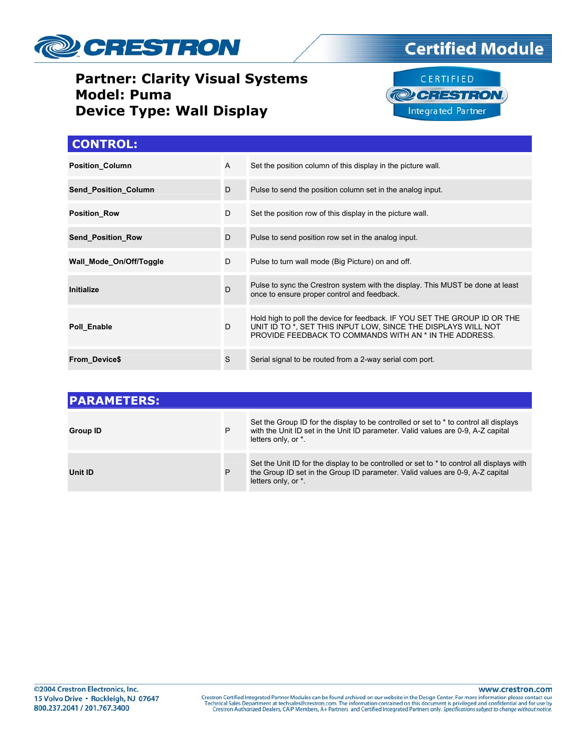





#### **CONTROL:**

| <b>Position Column</b>      | A | Set the position column of this display in the picture wall.                                                                                                                                         |
|-----------------------------|---|------------------------------------------------------------------------------------------------------------------------------------------------------------------------------------------------------|
| <b>Send Position Column</b> | D | Pulse to send the position column set in the analog input.                                                                                                                                           |
| <b>Position Row</b>         | D | Set the position row of this display in the picture wall.                                                                                                                                            |
| <b>Send Position Row</b>    | D | Pulse to send position row set in the analog input.                                                                                                                                                  |
| Wall Mode On/Off/Toggle     | D | Pulse to turn wall mode (Big Picture) on and off.                                                                                                                                                    |
| Initialize                  | D | Pulse to sync the Crestron system with the display. This MUST be done at least<br>once to ensure proper control and feedback.                                                                        |
| Poll Enable                 | D | Hold high to poll the device for feedback. IF YOU SET THE GROUP ID OR THE<br>UNIT ID TO *, SET THIS INPUT LOW, SINCE THE DISPLAYS WILL NOT<br>PROVIDE FEEDBACK TO COMMANDS WITH AN * IN THE ADDRESS. |
| <b>From Device\$</b>        | S | Serial signal to be routed from a 2-way serial com port.                                                                                                                                             |

| <b>IPARAMETERS:</b> |   |                                                                                                                                                                                                    |  |  |  |
|---------------------|---|----------------------------------------------------------------------------------------------------------------------------------------------------------------------------------------------------|--|--|--|
| <b>Group ID</b>     | P | Set the Group ID for the display to be controlled or set to $*$ to control all displays<br>with the Unit ID set in the Unit ID parameter. Valid values are 0-9, A-Z capital<br>letters only, or *. |  |  |  |
| Unit ID             | P | Set the Unit ID for the display to be controlled or set to * to control all displays with<br>the Group ID set in the Group ID parameter. Valid values are 0-9, A-Z capital<br>letters only, or *.  |  |  |  |

www.crestron.com

Crestron Certified Integrated Partner Modules can be found archived on our website in the Design Center. For more information please contact our Technical Sales Department at techsales@crestron.com. The information contain